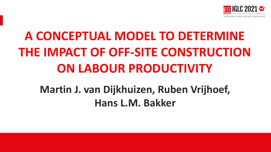

# **A CONCEPTUAL MODEL TO DETERMINE THE IMPACT OF OFF-SITE CONSTRUCTION ON LABOUR PRODUCTIVITY**

## **Martin J. van Dijkhuizen, Ruben Vrijhoef, Hans L.M. Bakker**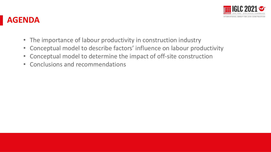

#### **AGENDA**

- The importance of labour productivity in construction industry
- Conceptual model to describe factors' influence on labour productivity
- Conceptual model to determine the impact of off-site construction
- Conclusions and recommendations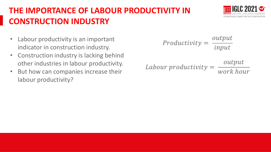### **THE IMPORTANCE OF LABOUR PRODUCTIVITY IN CONSTRUCTION INDUSTRY**

- Labour productivity is an important indicator in construction industry.
- Construction industry is lacking behind other industries in labour productivity.
- But how can companies increase their labour productivity?

Productivity = 
$$
\frac{output}{input}
$$

\nTabour productivity = 
$$
\frac{output}{work \, hour}
$$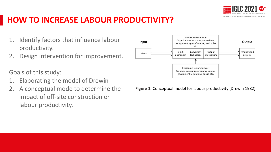

#### **HOW TO INCREASE LABOUR PRODUCTIVITY?**

- 1. Identify factors that influence labour productivity.
- 2. Design intervention for improvement.

Goals of this study:

- 1. Elaborating the model of Drewin
- 2. A conceptual mode to determine the impact of off-site construction on labour productivity.



**Figure 1.** Conceptual model for labour productivity (Drewin 1982)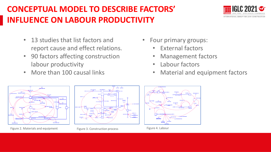#### **CONCEPTUAL MODEL TO DESCRIBE FACTORS' INFLUENCE ON LABOUR PRODUCTIVITY**

- 13 studies that list factors and report cause and effect relations.
- 90 factors affecting construction labour productivity
- More than 100 causal links
- Four primary groups:
	- External factors
	- Management factors
	- Labour factors
	- Material and equipment factors



Figure 2. Materials and equipment



Figure 3. Construction process



Figure 4. Labour

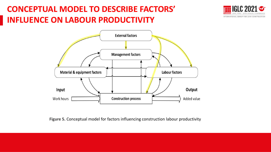#### **CONCEPTUAL MODEL TO DESCRIBE FACTORS' INFLUENCE ON LABOUR PRODUCTIVITY**





**Figure 5.** Conceptual model for factors influencing construction labour productivity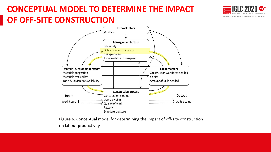#### **CONCEPTUAL MODEL TO DETERMINE THE IMPACT OF OFF-SITE CONSTRUCTION**





**Figure 6.** Conceptual model for determining the impact of off-site construction on labour productivity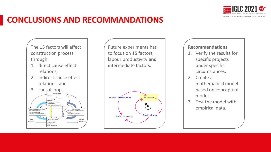

#### **CONCLUSIONS AND RECOMMANDATIONS**

The 15 factors will affect construction process through:

- 1. direct cause effect relations,
- 2. indirect cause effect relations, and



Future experiments has to focus on 15 factors, labour productivity **and**  intermediate factors.



#### **Recommendations**

- 1. Verify the results for specific projects under specific circumstances.
- 2. Create a mathematical model based on conceptual model.
- 3. Test the model with empirical data.